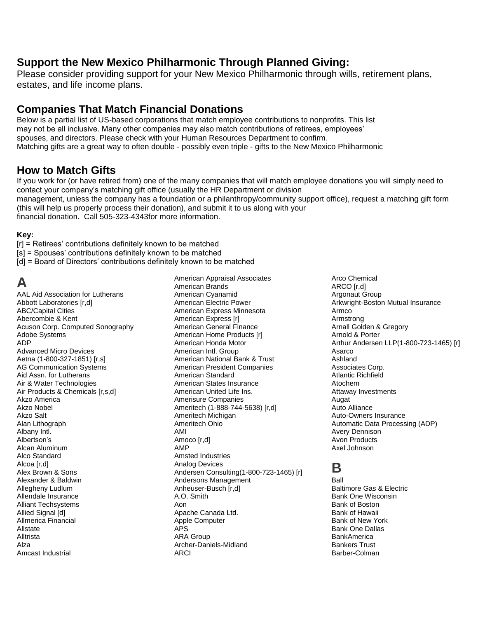#### **Support the New Mexico Philharmonic Through Planned Giving:**

Please consider providing support for your New Mexico Philharmonic through wills, retirement plans, estates, and life income plans.

#### **Companies That Match Financial Donations**

Below is a partial list of US-based corporations that match employee contributions to nonprofits. This list may not be all inclusive. Many other companies may also match contributions of retirees, employees' spouses, and directors. Please check with your Human Resources Department to confirm. Matching gifts are a great way to often double - possibly even triple - gifts to the New Mexico Philharmonic

#### **How to Match Gifts**

If you work for (or have retired from) one of the many companies that will match employee donations you will simply need to contact your company's matching gift office (usually the HR Department or division management, unless the company has a foundation or a philanthropy/community support office), request a matching gift form (this will help us properly process their donation), and submit it to us along with your financial donation. Call 505-323-4343for more information.

#### **Key:**

[r] = Retirees' contributions definitely known to be matched

- [s] = Spouses' contributions definitely known to be matched
- [d] = Board of Directors' contributions definitely known to be matched

## **A**

AAL Aid Association for Lutherans Abbott Laboratories [r,d] ABC/Capital Cities Abercombie & Kent Acuson Corp. Computed Sonography Adobe Systems ADP Advanced Micro Devices Aetna (1-800-327-1851) [r,s] AG Communication Systems Aid Assn. for Lutherans Air & Water Technologies Air Products & Chemicals [r,s,d] Akzo America Akzo Nobel Akzo Salt Alan Lithograph Albany Intl. Albertson's Alcan Aluminum Alco Standard Alcoa [r,d] Alex Brown & Sons Alexander & Baldwin Allegheny Ludlum Allendale Insurance Alliant Techsystems Allied Signal [d] Allmerica Financial Allstate Alltrista Alza Amcast Industrial

American Appraisal Associates American Brands American Cyanamid American Electric Power American Express Minnesota American Express [r] American General Finance American Home Products [r] American Honda Motor American Intl. Group American National Bank & Trust American President Companies American Standard American States Insurance American United Life Ins. Amerisure Companies Ameritech (1-888-744-5638) [r,d] Ameritech Michigan Ameritech Ohio AMI Amoco [r,d] AMP Amsted Industries Analog Devices Andersen Consulting(1-800-723-1465) [r] Andersons Management Anheuser-Busch [r,d] A.O. Smith Aon Apache Canada Ltd. Apple Computer APS ARA Group Archer-Daniels-Midland ARCI

Arco Chemical ARCO [r,d] Argonaut Group Arkwright-Boston Mutual Insurance Armco Armstrong Arnall Golden & Gregory Arnold & Porter Arthur Andersen LLP(1-800-723-1465) [r] Asarco Ashland Associates Corp. Atlantic Richfield Atochem Attaway Investments Augat Auto Alliance Auto-Owners Insurance Automatic Data Processing (ADP) Avery Dennison Avon Products Axel Johnson

## **B**

Ball Baltimore Gas & Electric Bank One Wisconsin Bank of Boston Bank of Hawaii Bank of New York Bank One Dallas **BankAmerica** Bankers Trust Barber-Colman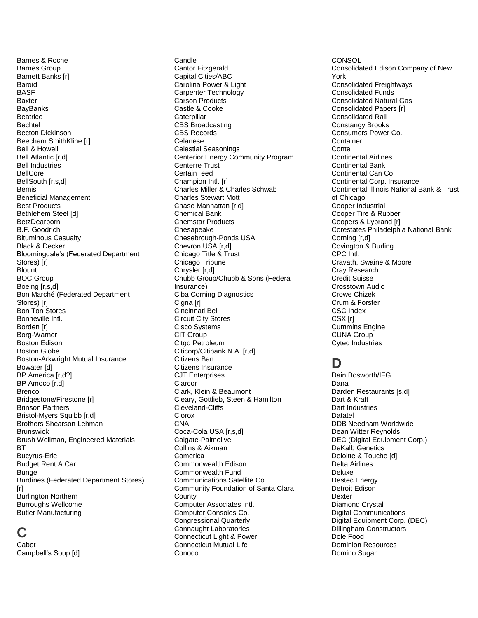Barnes & Roche Barnes Group Barnett Banks [r] Baroid BASF Baxter **BayBanks Beatrice** Bechtel Becton Dickinson Beecham SmithKline [r] Bell & Howell Bell Atlantic [r,d] Bell Industries BellCore BellSouth [r,s,d] Bemis Beneficial Management Best Products Bethlehem Steel [d] **BetzDearborn** B.F. Goodrich Bituminous Casualty Black & Decker Bloomingdale's (Federated Department Stores) [r] **Blount** BOC Group Boeing [r,s,d] Bon Marché (Federated Department Stores) [r] Bon Ton Stores Bonneville Intl. Borden [r] Borg-Warner Boston Edison Boston Globe Boston-Arkwright Mutual Insurance Bowater [d] BP America [r,d?] BP Amoco [r,d] Brenco Bridgestone/Firestone [r] Brinson Partners Bristol-Myers Squibb [r,d] Brothers Shearson Lehman **Brunswick** Brush Wellman, Engineered Materials BT Bucyrus-Erie Budget Rent A Car **Bunge** Burdines (Federated Department Stores) [r] Burlington Northern Burroughs Wellcome Butler Manufacturing

#### **C**

Cabot Campbell's Soup [d] **Candle** Cantor Fitzgerald Capital Cities/ABC Carolina Power & Light Carpenter Technology Carson Products Castle & Cooke **Caterpillar** CBS Broadcasting CBS Records Celanese Celestial Seasonings Centerior Energy Community Program Centerre Trust **CertainTeed** Champion Intl. [r] Charles Miller & Charles Schwab Charles Stewart Mott Chase Manhattan [r,d] Chemical Bank Chemstar Products Chesapeake Chesebrough-Ponds USA Chevron USA [r,d] Chicago Title & Trust Chicago Tribune Chrysler [r,d] Chubb Group/Chubb & Sons (Federal Insurance) Ciba Corning Diagnostics Cigna [r] Cincinnati Bell Circuit City Stores Cisco Systems CIT Group Citgo Petroleum Citicorp/Citibank N.A. [r,d] Citizens Ban Citizens Insurance CJT Enterprises Clarcor Clark, Klein & Beaumont Cleary, Gottlieb, Steen & Hamilton Cleveland-Cliffs Clorox **CNA** Coca-Cola USA [r,s,d] Colgate-Palmolive Collins & Aikman Comerica Commonwealth Edison Commonwealth Fund Communications Satellite Co. Community Foundation of Santa Clara **County** Computer Associates Intl. Computer Consoles Co. Congressional Quarterly Connaught Laboratories Connecticut Light & Power Connecticut Mutual Life Conoco

**CONSOL** Consolidated Edison Company of New York Consolidated Freightways Consolidated Funds Consolidated Natural Gas Consolidated Papers [r] Consolidated Rail Constangy Brooks Consumers Power Co. Container **Contel** Continental Airlines Continental Bank Continental Can Co. Continental Corp. Insurance Continental Illinois National Bank & Trust of Chicago Cooper Industrial Cooper Tire & Rubber Coopers & Lybrand [r] Corestates Philadelphia National Bank Corning [r,d] Covington & Burling CPC Intl. Cravath, Swaine & Moore Cray Research Credit Suisse Crosstown Audio Crowe Chizek Crum & Forster CSC Index CSX [r] Cummins Engine CUNA Group Cytec Industries

## **D**

Dain Bosworth/IFG Dana Darden Restaurants [s,d] Dart & Kraft Dart Industries Datatel DDB Needham Worldwide Dean Witter Reynolds DEC (Digital Equipment Corp.) DeKalb Genetics Deloitte & Touche [d] Delta Airlines Deluxe Destec Energy Detroit Edison Dexter Diamond Crystal Digital Communications Digital Equipment Corp. (DEC) Dillingham Constructors Dole Food Dominion Resources Domino Sugar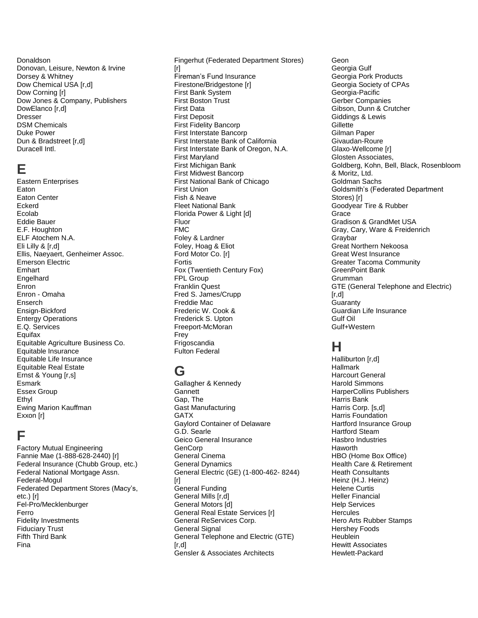Donaldson Donovan, Leisure, Newton & Irvine Dorsey & Whitney Dow Chemical USA [r,d] Dow Corning [r] Dow Jones & Company, Publishers DowElanco [r,d] Dresser DSM Chemicals Duke Power Dun & Bradstreet [r,d] Duracell Intl.

#### **E**

Eastern Enterprises Eaton Eaton Center Eckerd Ecolab Eddie Bauer E.F. Houghton ELF Atochem N.A. Eli Lilly & [r,d] Ellis, Naeyaert, Genheimer Assoc. Emerson Electric Emhart **Engelhard** Enron Enron - Omaha Enserch Ensign-Bickford Entergy Operations E.Q. Services **Equifax** Equitable Agriculture Business Co. Equitable Insurance Equitable Life Insurance Equitable Real Estate Ernst & Young [r,s] Esmark Essex Group Ethyl Ewing Marion Kauffman Exxon [r]

### **F**

Factory Mutual Engineering Fannie Mae (1-888-628-2440) [r] Federal Insurance (Chubb Group, etc.) Federal National Mortgage Assn. Federal-Mogul Federated Department Stores (Macy's, etc.) [r] Fel-Pro/Mecklenburger Ferro Fidelity Investments Fiduciary Trust Fifth Third Bank Fina

Fingerhut (Federated Department Stores)  $[r]$ Fireman's Fund Insurance Firestone/Bridgestone [r] First Bank System First Boston Trust First Data First Deposit First Fidelity Bancorp First Interstate Bancorp First Interstate Bank of California First Interstate Bank of Oregon, N.A. First Maryland First Michigan Bank First Midwest Bancorp First National Bank of Chicago First Union Fish & Neave Fleet National Bank Florida Power & Light [d] Fluor FMC Foley & Lardner Foley, Hoag & Eliot Ford Motor Co. [r] Fortis Fox (Twentieth Century Fox) FPL Group Franklin Quest Fred S. James/Crupp Freddie Mac Frederic W. Cook & Frederick S. Upton Freeport-McMoran Frey Frigoscandia Fulton Federal

## **G**

Gallagher & Kennedy **Gannett** Gap, The Gast Manufacturing **GATX** Gaylord Container of Delaware G.D. Searle Geico General Insurance **GenCorp** General Cinema General Dynamics General Electric (GE) (1-800-462- 8244) [r] General Funding General Mills [r,d] General Motors [d] General Real Estate Services [r] General ReServices Corp. General Signal General Telephone and Electric (GTE)  $[r, d]$ Gensler & Associates Architects

Geon Georgia Gulf Georgia Pork Products Georgia Society of CPAs Georgia-Pacific Gerber Companies Gibson, Dunn & Crutcher Giddings & Lewis **Gillette** Gilman Paper Givaudan-Roure Glaxo-Wellcome [r] Glosten Associates, Goldberg, Kohn, Bell, Black, Rosenbloom & Moritz, Ltd. Goldman Sachs Goldsmith's (Federated Department Stores) [r] Goodyear Tire & Rubber Grace Gradison & GrandMet USA Gray, Cary, Ware & Freidenrich Graybar Great Northern Nekoosa Great West Insurance Greater Tacoma Community GreenPoint Bank Grumman GTE (General Telephone and Electric)  $[r,d]$ **Guaranty** Guardian Life Insurance Gulf Oil Gulf+Western

# **H**

Halliburton [r,d] Hallmark Harcourt General Harold Simmons HarperCollins Publishers Harris Bank Harris Corp. [s,d] Harris Foundation Hartford Insurance Group Hartford Steam Hasbro Industries Haworth HBO (Home Box Office) Health Care & Retirement Heath Consultants Heinz (H.J. Heinz) Helene Curtis Heller Financial Help Services **Hercules** Hero Arts Rubber Stamps Hershey Foods Heublein Hewitt Associates Hewlett-Packard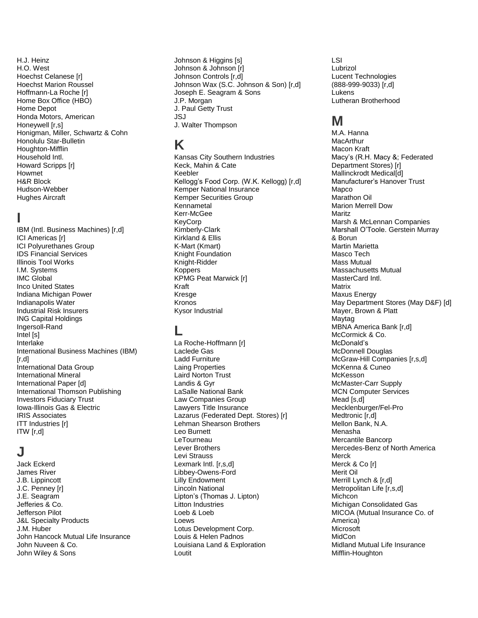H.J. Heinz H.O. West Hoechst Celanese [r] Hoechst Marion Roussel Hoffmann-La Roche [r] Home Box Office (HBO) Home Depot Honda Motors, American Honeywell [r,s] Honigman, Miller, Schwartz & Cohn Honolulu Star-Bulletin Houghton-Mifflin Household Intl. Howard Scripps [r] Howmet H&R Block Hudson-Webber Hughes Aircraft

#### **I**

IBM (Intl. Business Machines) [r,d] ICI Americas [r] ICI Polyurethanes Group IDS Financial Services Illinois Tool Works I.M. Systems IMC Global Inco United States Indiana Michigan Power Indianapolis Water Industrial Risk Insurers ING Capital Holdings Ingersoll-Rand Intel [s] Interlake International Business Machines (IBM)  $[r, d]$ International Data Group International Mineral International Paper [d] International Thomson Publishing Investors Fiduciary Trust Iowa-Illinois Gas & Electric IRIS Associates ITT Industries [r] ITW [r,d]

## **J**

Jack Eckerd James River J.B. Lippincott J.C. Penney [r] J.E. Seagram Jefferies & Co. Jefferson Pilot J&L Specialty Products J.M. Huber John Hancock Mutual Life Insurance John Nuveen & Co. John Wiley & Sons

Johnson & Higgins [s] Johnson & Johnson [r] Johnson Controls [r,d] Johnson Wax (S.C. Johnson & Son) [r,d] Joseph E. Seagram & Sons J.P. Morgan J. Paul Getty Trust JSJ J. Walter Thompson

## **K**

Kansas City Southern Industries Keck, Mahin & Cate Keebler Kellogg's Food Corp. (W.K. Kellogg) [r,d] Kemper National Insurance Kemper Securities Group Kennametal Kerr-McGee KeyCorp Kimberly-Clark Kirkland & Ellis K-Mart (Kmart) Knight Foundation Knight-Ridder **Koppers** KPMG Peat Marwick [r] Kraft Kresge Kronos Kysor Industrial

#### **L**

La Roche-Hoffmann [r] Laclede Gas Ladd Furniture Laing Properties Laird Norton Trust Landis & Gyr LaSalle National Bank Law Companies Group Lawyers Title Insurance Lazarus (Federated Dept. Stores) [r] Lehman Shearson Brothers Leo Burnett LeTourneau Lever Brothers Levi Strauss Lexmark Intl. [r,s,d] Libbey-Owens-Ford Lilly Endowment Lincoln National Lipton's (Thomas J. Lipton) Litton Industries Loeb & Loeb Loews Lotus Development Corp. Louis & Helen Padnos Louisiana Land & Exploration Loutit

LSI Lubrizol Lucent Technologies (888-999-9033) [r,d] Lukens Lutheran Brotherhood

## **M**

M.A. Hanna MacArthur Macon Kraft Macy's (R.H. Macy &; Federated Department Stores) [r] Mallinckrodt Medical[d] Manufacturer's Hanover Trust Mapco Marathon Oil Marion Merrell Dow Maritz Marsh & McLennan Companies Marshall O'Toole. Gerstein Murray & Borun Martin Marietta Masco Tech Mass Mutual Massachusetts Mutual MasterCard Intl. **Matrix** Maxus Energy May Department Stores (May D&F) [d] Mayer, Brown & Platt Maytag MBNA America Bank [r,d] McCormick & Co. McDonald's McDonnell Douglas McGraw-Hill Companies [r,s,d] McKenna & Cuneo McKesson McMaster-Carr Supply MCN Computer Services Mead [s,d] Mecklenburger/Fel-Pro Medtronic [r,d] Mellon Bank, N.A. Menasha Mercantile Bancorp Mercedes-Benz of North America Merck Merck & Co [r] Merit Oil Merrill Lynch & [r,d] Metropolitan Life [r,s,d] **Michcon** Michigan Consolidated Gas MICOA (Mutual Insurance Co. of America) Microsoft **MidCon** Midland Mutual Life Insurance Mifflin-Houghton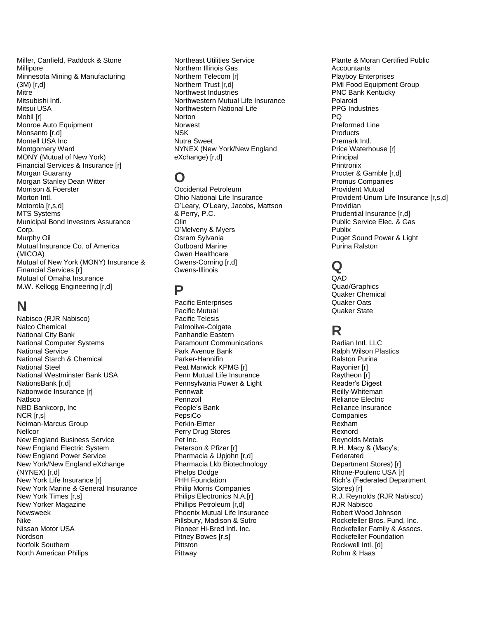Miller, Canfield, Paddock & Stone Millipore Minnesota Mining & Manufacturing (3M) [r,d] Mitre Mitsubishi Intl. Mitsui USA Mobil [r] Monroe Auto Equipment Monsanto [r,d] Montell USA Inc Montgomery Ward MONY (Mutual of New York) Financial Services & Insurance [r] Morgan Guaranty Morgan Stanley Dean Witter Morrison & Foerster Morton Intl. Motorola [r,s,d] MTS Systems Municipal Bond Investors Assurance Corp. Murphy Oil Mutual Insurance Co. of America (MICOA) Mutual of New York (MONY) Insurance & Financial Services [r] Mutual of Omaha Insurance M.W. Kellogg Engineering [r,d]

# **N**

Nabisco (RJR Nabisco) Nalco Chemical National City Bank National Computer Systems National Service National Starch & Chemical National Steel National Westminster Bank USA NationsBank [r,d] Nationwide Insurance [r] Natlsco NBD Bankcorp, Inc NCR [r,s] Neiman-Marcus Group **Nellcor** New England Business Service New England Electric System New England Power Service New York/New England eXchange (NYNEX) [r,d] New York Life Insurance [r] New York Marine & General Insurance New York Times [r,s] New Yorker Magazine Newsweek Nike Nissan Motor USA Nordson Norfolk Southern North American Philips

Northeast Utilities Service Northern Illinois Gas Northern Telecom [r] Northern Trust [r,d] Northwest Industries Northwestern Mutual Life Insurance Northwestern National Life **Norton** Norwest NSK Nutra Sweet NYNEX (New York/New England eXchange) [r,d]

# **O**

Occidental Petroleum Ohio National Life Insurance O'Leary, O'Leary, Jacobs, Mattson & Perry, P.C. Olin O'Melveny & Myers Osram Sylvania Outboard Marine Owen Healthcare Owens-Corning [r,d] Owens-Illinois

#### **P**

Pacific Enterprises Pacific Mutual Pacific Telesis Palmolive-Colgate Panhandle Eastern Paramount Communications Park Avenue Bank Parker-Hannifin Peat Marwick KPMG [r] Penn Mutual Life Insurance Pennsylvania Power & Light **Pennwalt** Pennzoil People's Bank PepsiCo Perkin-Elmer Perry Drug Stores Pet Inc. Peterson & Pfizer [r] Pharmacia & Upjohn [r,d] Pharmacia Lkb Biotechnology Phelps Dodge PHH Foundation Philip Morris Companies Philips Electronics N.A.[r] Phillips Petroleum [r,d] Phoenix Mutual Life Insurance Pillsbury, Madison & Sutro Pioneer Hi-Bred Intl. Inc. Pitney Bowes [r,s] **Pittston Pittway** 

Plante & Moran Certified Public **Accountants** Playboy Enterprises PMI Food Equipment Group PNC Bank Kentucky Polaroid PPG Industries PQ Preformed Line **Products** Premark Intl. Price Waterhouse [r] **Principal Printronix** Procter & Gamble [r,d] Promus Companies Provident Mutual Provident-Unum Life Insurance [r,s,d] Providian Prudential Insurance [r,d] Public Service Elec. & Gas Publix Puget Sound Power & Light Purina Ralston

# **Q**

QAD Quad/Graphics Quaker Chemical Quaker Oats Quaker State

# **R**

Radian Intl. LLC Ralph Wilson Plastics Ralston Purina Rayonier [r] Raytheon [r] Reader's Digest Reilly-Whiteman Reliance Electric Reliance Insurance **Companies** Rexham Rexnord Reynolds Metals R.H. Macy & (Macy's; Federated Department Stores) [r] Rhone-Poulenc USA [r] Rich's (Federated Department Stores) [r] R.J. Reynolds (RJR Nabisco) RJR Nabisco Robert Wood Johnson Rockefeller Bros. Fund, Inc. Rockefeller Family & Assocs. Rockefeller Foundation Rockwell Intl. [d] Rohm & Haas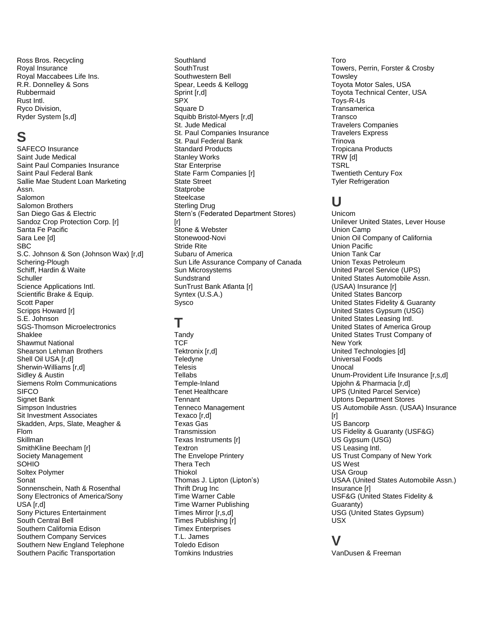Ross Bros. Recycling Royal Insurance Royal Maccabees Life Ins. R.R. Donnelley & Sons Rubbermaid Rust Intl. Ryco Division, Ryder System [s,d]

# **S**

SAFECO Insurance Saint Jude Medical Saint Paul Companies Insurance Saint Paul Federal Bank Sallie Mae Student Loan Marketing Assn. Salomon Salomon Brothers San Diego Gas & Electric Sandoz Crop Protection Corp. [r] Santa Fe Pacific Sara Lee [d] SBC S.C. Johnson & Son (Johnson Wax) [r,d] Schering-Plough Schiff, Hardin & Waite **Schuller** Science Applications Intl. Scientific Brake & Equip. Scott Paper Scripps Howard [r] S.E. Johnson SGS-Thomson Microelectronics Shaklee Shawmut National Shearson Lehman Brothers Shell Oil USA [r,d] Sherwin-Williams [r,d] Sidley & Austin Siemens Rolm Communications **SIFCO** Signet Bank Simpson Industries Sit Investment Associates Skadden, Arps, Slate, Meagher & Flom **Skillman** SmithKline Beecham [r] Society Management **SOHIO** Soltex Polymer Sonat Sonnenschein, Nath & Rosenthal Sony Electronics of America/Sony USA [r,d] Sony Pictures Entertainment South Central Bell Southern California Edison Southern Company Services Southern New England Telephone Southern Pacific Transportation

**Southland SouthTrust** Southwestern Bell Spear, Leeds & Kellogg Sprint [r,d] SPX Square D Squibb Bristol-Myers [r,d] St. Jude Medical St. Paul Companies Insurance St. Paul Federal Bank Standard Products Stanley Works Star Enterprise State Farm Companies [r] State Street **Statprobe** Steelcase Sterling Drug Stern's (Federated Department Stores)  $[<sub>r</sub>]$ Stone & Webster Stonewood-Novi Stride Rite Subaru of America Sun Life Assurance Company of Canada Sun Microsystems **Sundstrand** SunTrust Bank Atlanta [r] Syntex (U.S.A.) Sysco

#### **T**

**Tandy TCF** Tektronix [r,d] **Teledvne Telesis** Tellabs Temple-Inland Tenet Healthcare **Tennant** Tenneco Management Texaco [r,d] Texas Gas **Transmission** Texas Instruments [r] Textron The Envelope Printery Thera Tech Thiokol Thomas J. Lipton (Lipton's) Thrift Drug Inc Time Warner Cable Time Warner Publishing Times Mirror [r,s,d] Times Publishing [r] Timex Enterprises T.L. James Toledo Edison Tomkins Industries

Toro Towers, Perrin, Forster & Crosby **Towsley** Toyota Motor Sales, USA Toyota Technical Center, USA Toys-R-Us **Transamerica Transco** Travelers Companies Travelers Express **Trinova** Tropicana Products TRW [d] TSRL Twentieth Century Fox Tyler Refrigeration

## **U**

Unicom Unilever United States, Lever House Union Camp Union Oil Company of California Union Pacific Union Tank Car Union Texas Petroleum United Parcel Service (UPS) United States Automobile Assn. (USAA) Insurance [r] United States Bancorp United States Fidelity & Guaranty United States Gypsum (USG) United States Leasing Intl. United States of America Group United States Trust Company of New York United Technologies [d] Universal Foods Unocal Unum-Provident Life Insurance [r,s,d] Upjohn & Pharmacia [r,d] UPS (United Parcel Service) Uptons Department Stores US Automobile Assn. (USAA) Insurance [r] US Bancorp US Fidelity & Guaranty (USF&G) US Gypsum (USG) US Leasing Intl. US Trust Company of New York US West USA Group USAA (United States Automobile Assn.) Insurance [r] USF&G (United States Fidelity & Guaranty) USG (United States Gypsum) USX

### **V**

VanDusen & Freeman